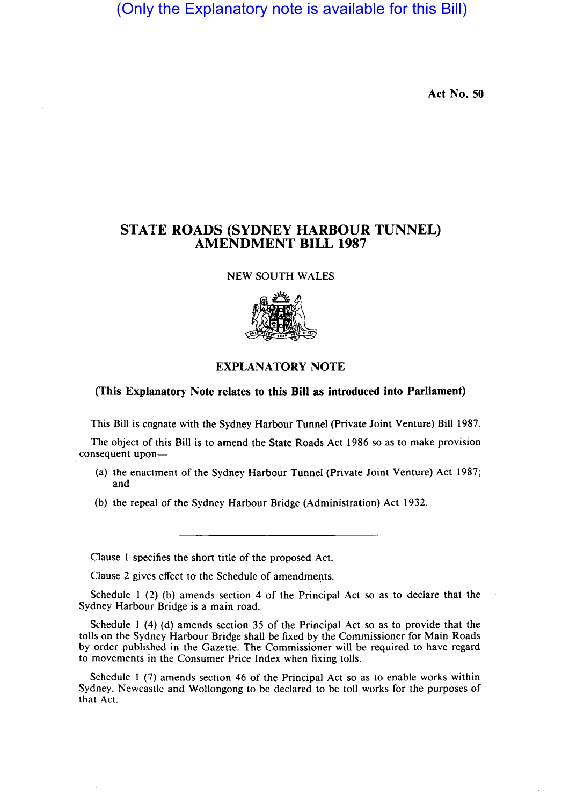(Only the Explanatory note is available for this Bill)

Act No. 50

## STATE ROADS (SYDNEY HARBOUR TUNNEL) AMENDMENT BILL 1987

NEW SOUTH WALES



## EXPLANATORY NOTE

## (This Explanatory Note relates to this Bill as introduced into Parliament)

This Bill is cognate with the Sydney Harbour Tunnel (Private Joint Venture) Bill 1987.

The object of this Bill is to amend the State Roads Act 1986 so as to make provision consequent upon-

- (a) the enactment of the Sydney Harbour Tunnel (Private Joint Venture) Act 1987; and
- (b) the repeal of the Sydney Harbour Bridge (Administration) Act 1932.

Clause 1 specifies the short title of the proposed Act.

Clause 2 gives effect to the Schedule of amendments.

Schedule 1 (2) (b) amends section 4 of the Principal Act so as to declare that the Sydney Harbour Bridge is a main road.

Schedule 1 (4) (d) amends section 35 of the Principal Act so as to provide that the tolls on the Sydney Harbour Bridge shall be fixed by the Commissioner for Main Roads by order published in the Gazette. The Commissioner will be required to have regard to movements in the Consumer Price Index when fixing tolls.

Schedule 1 (7) amends section 46 of the Principal Act so as to enable works within Sydney, Newcastle and Wollongong to be declared to be toll works for the purposes of that Act.